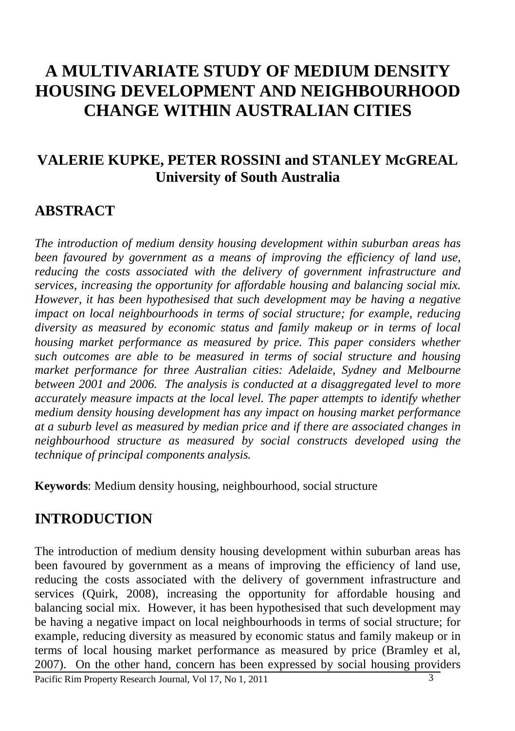## **A MULTIVARIATE STUDY OF MEDIUM DENSITY HOUSING DEVELOPMENT AND NEIGHBOURHOOD CHANGE WITHIN AUSTRALIAN CITIES**

### **VALERIE KUPKE, PETER ROSSINI and STANLEY McGREAL University of South Australia**

## **ABSTRACT**

*The introduction of medium density housing development within suburban areas has been favoured by government as a means of improving the efficiency of land use, reducing the costs associated with the delivery of government infrastructure and services, increasing the opportunity for affordable housing and balancing social mix. However, it has been hypothesised that such development may be having a negative impact on local neighbourhoods in terms of social structure; for example, reducing diversity as measured by economic status and family makeup or in terms of local housing market performance as measured by price. This paper considers whether such outcomes are able to be measured in terms of social structure and housing market performance for three Australian cities: Adelaide, Sydney and Melbourne between 2001 and 2006. The analysis is conducted at a disaggregated level to more accurately measure impacts at the local level. The paper attempts to identify whether medium density housing development has any impact on housing market performance at a suburb level as measured by median price and if there are associated changes in neighbourhood structure as measured by social constructs developed using the technique of principal components analysis.* 

**Keywords**: Medium density housing, neighbourhood, social structure

## **INTRODUCTION**

The introduction of medium density housing development within suburban areas has been favoured by government as a means of improving the efficiency of land use, reducing the costs associated with the delivery of government infrastructure and services (Quirk, 2008), increasing the opportunity for affordable housing and balancing social mix. However, it has been hypothesised that such development may be having a negative impact on local neighbourhoods in terms of social structure; for example, reducing diversity as measured by economic status and family makeup or in terms of local housing market performance as measured by price (Bramley et al, 2007). On the other hand, concern has been expressed by social housing providers

Pacific Rim Property Research Journal, Vol 17, No 1, 2011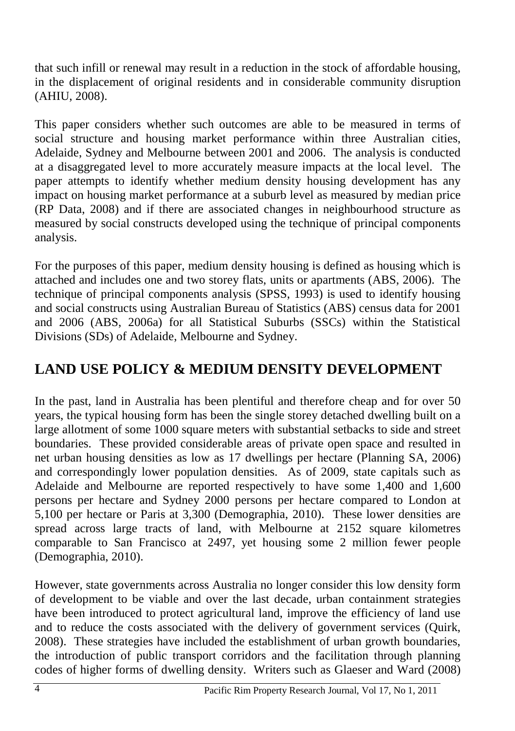that such infill or renewal may result in a reduction in the stock of affordable housing, in the displacement of original residents and in considerable community disruption (AHIU, 2008).

This paper considers whether such outcomes are able to be measured in terms of social structure and housing market performance within three Australian cities, Adelaide, Sydney and Melbourne between 2001 and 2006. The analysis is conducted at a disaggregated level to more accurately measure impacts at the local level. The paper attempts to identify whether medium density housing development has any impact on housing market performance at a suburb level as measured by median price (RP Data, 2008) and if there are associated changes in neighbourhood structure as measured by social constructs developed using the technique of principal components analysis.

For the purposes of this paper, medium density housing is defined as housing which is attached and includes one and two storey flats, units or apartments (ABS, 2006). The technique of principal components analysis (SPSS, 1993) is used to identify housing and social constructs using Australian Bureau of Statistics (ABS) census data for 2001 and 2006 (ABS, 2006a) for all Statistical Suburbs (SSCs) within the Statistical Divisions (SDs) of Adelaide, Melbourne and Sydney.

## **LAND USE POLICY & MEDIUM DENSITY DEVELOPMENT**

In the past, land in Australia has been plentiful and therefore cheap and for over 50 years, the typical housing form has been the single storey detached dwelling built on a large allotment of some 1000 square meters with substantial setbacks to side and street boundaries. These provided considerable areas of private open space and resulted in net urban housing densities as low as 17 dwellings per hectare (Planning SA, 2006) and correspondingly lower population densities. As of 2009, state capitals such as Adelaide and Melbourne are reported respectively to have some 1,400 and 1,600 persons per hectare and Sydney 2000 persons per hectare compared to London at 5,100 per hectare or Paris at 3,300 (Demographia, 2010). These lower densities are spread across large tracts of land, with Melbourne at 2152 square kilometres comparable to San Francisco at 2497, yet housing some 2 million fewer people (Demographia, 2010).

However, state governments across Australia no longer consider this low density form of development to be viable and over the last decade, urban containment strategies have been introduced to protect agricultural land, improve the efficiency of land use and to reduce the costs associated with the delivery of government services (Quirk, 2008). These strategies have included the establishment of urban growth boundaries, the introduction of public transport corridors and the facilitation through planning codes of higher forms of dwelling density. Writers such as Glaeser and Ward (2008)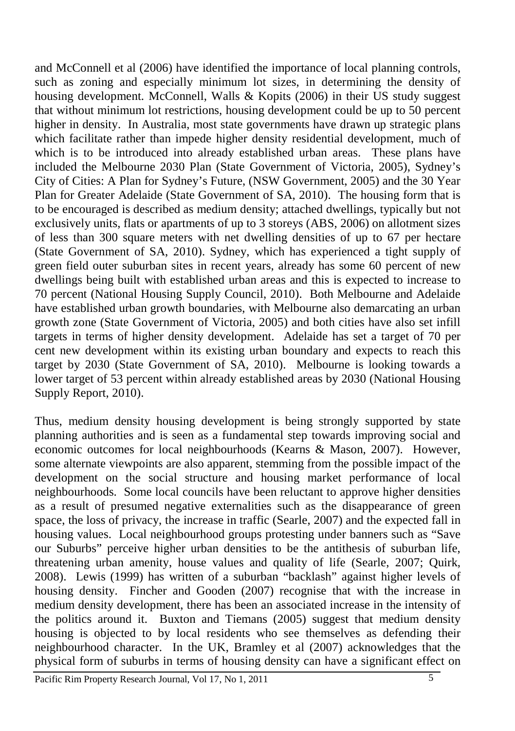and McConnell et al (2006) have identified the importance of local planning controls, such as zoning and especially minimum lot sizes, in determining the density of housing development. McConnell, Walls & Kopits (2006) in their US study suggest that without minimum lot restrictions, housing development could be up to 50 percent higher in density. In Australia, most state governments have drawn up strategic plans which facilitate rather than impede higher density residential development, much of which is to be introduced into already established urban areas. These plans have included the Melbourne 2030 Plan (State Government of Victoria, 2005), Sydney's City of Cities: A Plan for Sydney's Future, (NSW Government, 2005) and the 30 Year Plan for Greater Adelaide (State Government of SA, 2010). The housing form that is to be encouraged is described as medium density; attached dwellings, typically but not exclusively units, flats or apartments of up to 3 storeys (ABS, 2006) on allotment sizes of less than 300 square meters with net dwelling densities of up to 67 per hectare (State Government of SA, 2010). Sydney, which has experienced a tight supply of green field outer suburban sites in recent years, already has some 60 percent of new dwellings being built with established urban areas and this is expected to increase to 70 percent (National Housing Supply Council, 2010). Both Melbourne and Adelaide have established urban growth boundaries, with Melbourne also demarcating an urban growth zone (State Government of Victoria, 2005) and both cities have also set infill targets in terms of higher density development. Adelaide has set a target of 70 per cent new development within its existing urban boundary and expects to reach this target by 2030 (State Government of SA, 2010). Melbourne is looking towards a lower target of 53 percent within already established areas by 2030 (National Housing Supply Report, 2010).

Thus, medium density housing development is being strongly supported by state planning authorities and is seen as a fundamental step towards improving social and economic outcomes for local neighbourhoods (Kearns & Mason, 2007). However, some alternate viewpoints are also apparent, stemming from the possible impact of the development on the social structure and housing market performance of local neighbourhoods. Some local councils have been reluctant to approve higher densities as a result of presumed negative externalities such as the disappearance of green space, the loss of privacy, the increase in traffic (Searle, 2007) and the expected fall in housing values. Local neighbourhood groups protesting under banners such as "Save our Suburbs" perceive higher urban densities to be the antithesis of suburban life, threatening urban amenity, house values and quality of life (Searle, 2007; Quirk, 2008). Lewis (1999) has written of a suburban "backlash" against higher levels of housing density. Fincher and Gooden (2007) recognise that with the increase in medium density development, there has been an associated increase in the intensity of the politics around it. Buxton and Tiemans (2005) suggest that medium density housing is objected to by local residents who see themselves as defending their neighbourhood character. In the UK, Bramley et al (2007) acknowledges that the physical form of suburbs in terms of housing density can have a significant effect on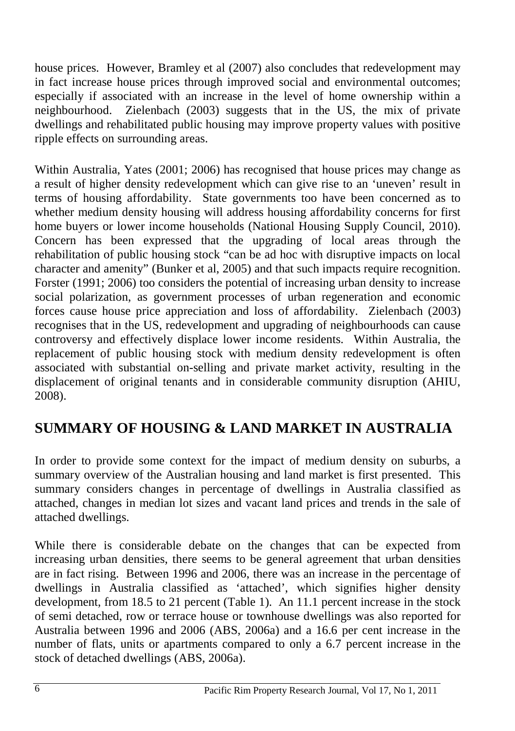house prices. However, Bramley et al (2007) also concludes that redevelopment may in fact increase house prices through improved social and environmental outcomes; especially if associated with an increase in the level of home ownership within a neighbourhood. Zielenbach (2003) suggests that in the US, the mix of private dwellings and rehabilitated public housing may improve property values with positive ripple effects on surrounding areas.

Within Australia, Yates (2001; 2006) has recognised that house prices may change as a result of higher density redevelopment which can give rise to an 'uneven' result in terms of housing affordability. State governments too have been concerned as to whether medium density housing will address housing affordability concerns for first home buyers or lower income households (National Housing Supply Council, 2010). Concern has been expressed that the upgrading of local areas through the rehabilitation of public housing stock "can be ad hoc with disruptive impacts on local character and amenity" (Bunker et al, 2005) and that such impacts require recognition. Forster (1991; 2006) too considers the potential of increasing urban density to increase social polarization, as government processes of urban regeneration and economic forces cause house price appreciation and loss of affordability. Zielenbach (2003) recognises that in the US, redevelopment and upgrading of neighbourhoods can cause controversy and effectively displace lower income residents. Within Australia, the replacement of public housing stock with medium density redevelopment is often associated with substantial on-selling and private market activity, resulting in the displacement of original tenants and in considerable community disruption (AHIU, 2008).

## **SUMMARY OF HOUSING & LAND MARKET IN AUSTRALIA**

In order to provide some context for the impact of medium density on suburbs, a summary overview of the Australian housing and land market is first presented. This summary considers changes in percentage of dwellings in Australia classified as attached, changes in median lot sizes and vacant land prices and trends in the sale of attached dwellings.

While there is considerable debate on the changes that can be expected from increasing urban densities, there seems to be general agreement that urban densities are in fact rising. Between 1996 and 2006, there was an increase in the percentage of dwellings in Australia classified as 'attached', which signifies higher density development, from 18.5 to 21 percent [\(Table 1\)](#page-4-0). An 11.1 percent increase in the stock of semi detached, row or terrace house or townhouse dwellings was also reported for Australia between 1996 and 2006 (ABS, 2006a) and a 16.6 per cent increase in the number of flats, units or apartments compared to only a 6.7 percent increase in the stock of detached dwellings (ABS, 2006a).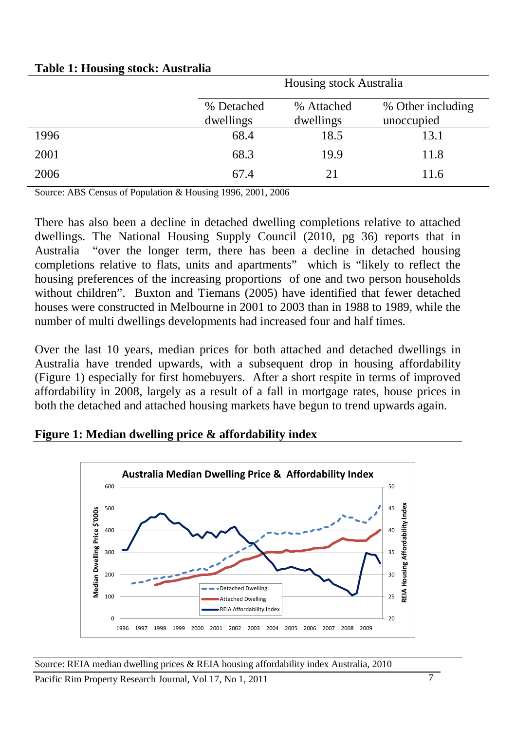| Table 1, Housing Stock, Australia |                         |                         |                                 |  |  |
|-----------------------------------|-------------------------|-------------------------|---------------------------------|--|--|
|                                   | Housing stock Australia |                         |                                 |  |  |
|                                   | % Detached<br>dwellings | % Attached<br>dwellings | % Other including<br>unoccupied |  |  |
| 1996                              | 68.4                    | 18.5                    | 13.1                            |  |  |
| 2001                              | 68.3                    | 19.9                    | 11.8                            |  |  |
| 2006                              | 67.4                    | 21                      | 11.6                            |  |  |

#### <span id="page-4-0"></span>**Table 1: Housing stock: Australia**

Source: ABS Census of Population & Housing 1996, 2001, 2006

There has also been a decline in detached dwelling completions relative to attached dwellings. The National Housing Supply Council (2010, pg 36) reports that in Australia "over the longer term, there has been a decline in detached housing completions relative to flats, units and apartments" which is "likely to reflect the housing preferences of the increasing proportions of one and two person households without children". Buxton and Tiemans (2005) have identified that fewer detached houses were constructed in Melbourne in 2001 to 2003 than in 1988 to 1989, while the number of multi dwellings developments had increased four and half times.

Over the last 10 years, median prices for both attached and detached dwellings in Australia have trended upwards, with a subsequent drop in housing affordability [\(Figure 1\)](#page-4-1) especially for first homebuyers. After a short respite in terms of improved affordability in 2008, largely as a result of a fall in mortgage rates, house prices in both the detached and attached housing markets have begun to trend upwards again.

#### <span id="page-4-1"></span>**Figure 1: Median dwelling price & affordability index**



Pacific Rim Property Research Journal, Vol 17, No 1, 2011 Source: REIA median dwelling prices & REIA housing affordability index Australia, 2010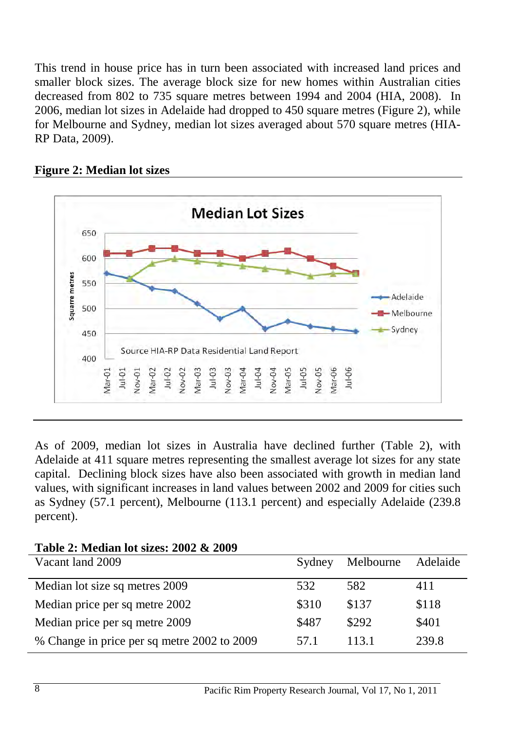This trend in house price has in turn been associated with increased land prices and smaller block sizes. The average block size for new homes within Australian cities decreased from 802 to 735 square metres between 1994 and 2004 (HIA, 2008). In 2006, median lot sizes in Adelaide had dropped to 450 square metres (Figure 2), while for Melbourne and Sydney, median lot sizes averaged about 570 square metres (HIA-RP Data, 2009).



### **Figure 2: Median lot sizes**

As of 2009, median lot sizes in Australia have declined further (Table 2), with Adelaide at 411 square metres representing the smallest average lot sizes for any state capital. Declining block sizes have also been associated with growth in median land values, with significant increases in land values between 2002 and 2009 for cities such as Sydney (57.1 percent), Melbourne (113.1 percent) and especially Adelaide (239.8 percent).

# Vacant land 2009 Sydney Melbourne Adelaide Median lot size sq metres 2009 532 582 411 Median price per sq metre 2002  $$310$  \$137 \$118 Median price per sq metre 2009 \$487 \$292 \$401 % Change in price per sq metre 2002 to 2009 57.1 113.1 239.8

**Table 2: Median lot sizes: 2002 & 2009**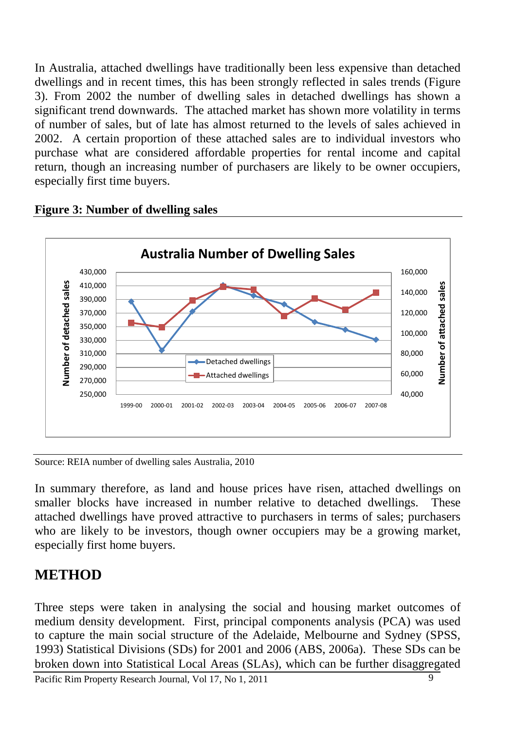In Australia, attached dwellings have traditionally been less expensive than detached dwellings and in recent times, this has been strongly reflected in sales trends (Figure 3). From 2002 the number of dwelling sales in detached dwellings has shown a significant trend downwards. The attached market has shown more volatility in terms of number of sales, but of late has almost returned to the levels of sales achieved in 2002. A certain proportion of these attached sales are to individual investors who purchase what are considered affordable properties for rental income and capital return, though an increasing number of purchasers are likely to be owner occupiers, especially first time buyers.



### **Figure 3: Number of dwelling sales**

Source: REIA number of dwelling sales Australia, 2010

In summary therefore, as land and house prices have risen, attached dwellings on smaller blocks have increased in number relative to detached dwellings. These attached dwellings have proved attractive to purchasers in terms of sales; purchasers who are likely to be investors, though owner occupiers may be a growing market, especially first home buyers.

## **METHOD**

Three steps were taken in analysing the social and housing market outcomes of medium density development. First, principal components analysis (PCA) was used to capture the main social structure of the Adelaide, Melbourne and Sydney (SPSS, 1993) Statistical Divisions (SDs) for 2001 and 2006 (ABS, 2006a). These SDs can be broken down into Statistical Local Areas (SLAs), which can be further disaggregated

Pacific Rim Property Research Journal, Vol 17, No 1, 2011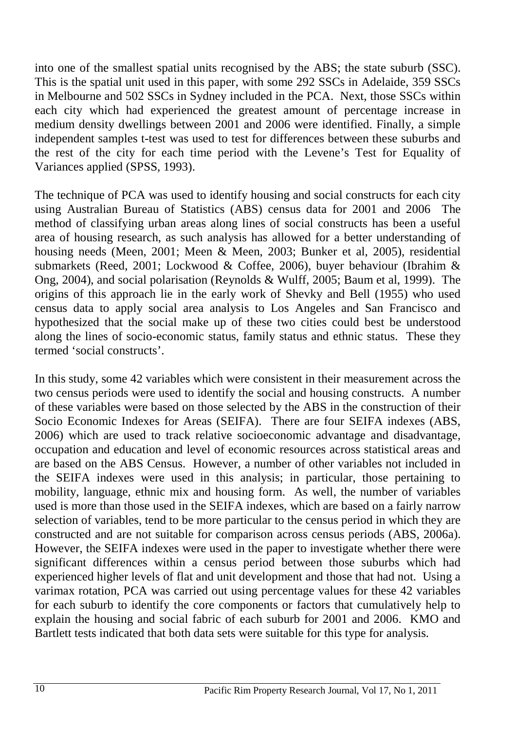into one of the smallest spatial units recognised by the ABS; the state suburb (SSC). This is the spatial unit used in this paper, with some 292 SSCs in Adelaide, 359 SSCs in Melbourne and 502 SSCs in Sydney included in the PCA. Next, those SSCs within each city which had experienced the greatest amount of percentage increase in medium density dwellings between 2001 and 2006 were identified. Finally, a simple independent samples t-test was used to test for differences between these suburbs and the rest of the city for each time period with the Levene's Test for Equality of Variances applied (SPSS, 1993).

The technique of PCA was used to identify housing and social constructs for each city using Australian Bureau of Statistics (ABS) census data for 2001 and 2006 The method of classifying urban areas along lines of social constructs has been a useful area of housing research, as such analysis has allowed for a better understanding of housing needs (Meen, 2001; Meen & Meen, 2003; Bunker et al, 2005), residential submarkets (Reed, 2001; Lockwood & Coffee, 2006), buyer behaviour (Ibrahim & Ong, 2004), and social polarisation (Reynolds & Wulff, 2005; Baum et al, 1999). The origins of this approach lie in the early work of Shevky and Bell (1955) who used census data to apply social area analysis to Los Angeles and San Francisco and hypothesized that the social make up of these two cities could best be understood along the lines of socio-economic status, family status and ethnic status. These they termed 'social constructs'.

In this study, some 42 variables which were consistent in their measurement across the two census periods were used to identify the social and housing constructs. A number of these variables were based on those selected by the ABS in the construction of their Socio Economic Indexes for Areas (SEIFA). There are four SEIFA indexes (ABS, 2006) which are used to track relative socioeconomic advantage and disadvantage, occupation and education and level of economic resources across statistical areas and are based on the ABS Census. However, a number of other variables not included in the SEIFA indexes were used in this analysis; in particular, those pertaining to mobility, language, ethnic mix and housing form. As well, the number of variables used is more than those used in the SEIFA indexes, which are based on a fairly narrow selection of variables, tend to be more particular to the census period in which they are constructed and are not suitable for comparison across census periods (ABS, 2006a). However, the SEIFA indexes were used in the paper to investigate whether there were significant differences within a census period between those suburbs which had experienced higher levels of flat and unit development and those that had not. Using a varimax rotation, PCA was carried out using percentage values for these 42 variables for each suburb to identify the core components or factors that cumulatively help to explain the housing and social fabric of each suburb for 2001 and 2006. KMO and Bartlett tests indicated that both data sets were suitable for this type for analysis.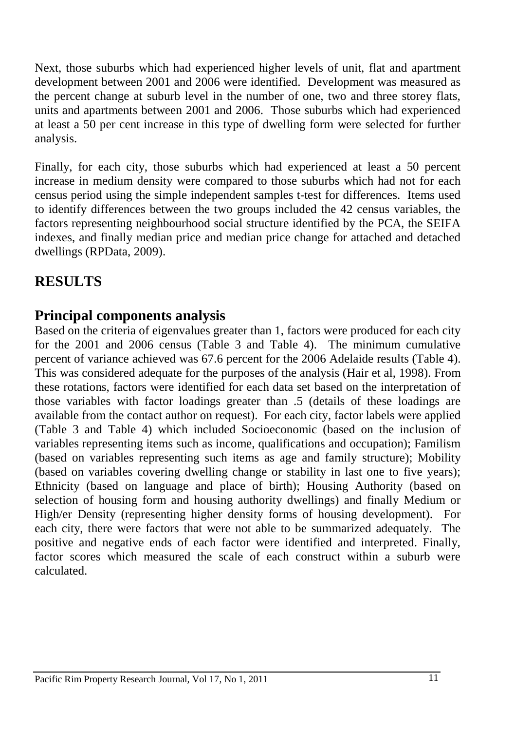Next, those suburbs which had experienced higher levels of unit, flat and apartment development between 2001 and 2006 were identified. Development was measured as the percent change at suburb level in the number of one, two and three storey flats, units and apartments between 2001 and 2006. Those suburbs which had experienced at least a 50 per cent increase in this type of dwelling form were selected for further analysis.

Finally, for each city, those suburbs which had experienced at least a 50 percent increase in medium density were compared to those suburbs which had not for each census period using the simple independent samples t-test for differences. Items used to identify differences between the two groups included the 42 census variables, the factors representing neighbourhood social structure identified by the PCA, the SEIFA indexes, and finally median price and median price change for attached and detached dwellings (RPData, 2009).

## **RESULTS**

### **Principal components analysis**

Based on the criteria of eigenvalues greater than 1, factors were produced for each city for the 2001 and 2006 census (Table 3 and Table 4). The minimum cumulative percent of variance achieved was 67.6 percent for the 2006 Adelaide results (Table 4). This was considered adequate for the purposes of the analysis (Hair et al, 1998). From these rotations, factors were identified for each data set based on the interpretation of those variables with factor loadings greater than .5 (details of these loadings are available from the contact author on request). For each city, factor labels were applied (Table 3 and Table 4) which included Socioeconomic (based on the inclusion of variables representing items such as income, qualifications and occupation); Familism (based on variables representing such items as age and family structure); Mobility (based on variables covering dwelling change or stability in last one to five years); Ethnicity (based on language and place of birth); Housing Authority (based on selection of housing form and housing authority dwellings) and finally Medium or High/er Density (representing higher density forms of housing development). For each city, there were factors that were not able to be summarized adequately. The positive and negative ends of each factor were identified and interpreted. Finally, factor scores which measured the scale of each construct within a suburb were calculated.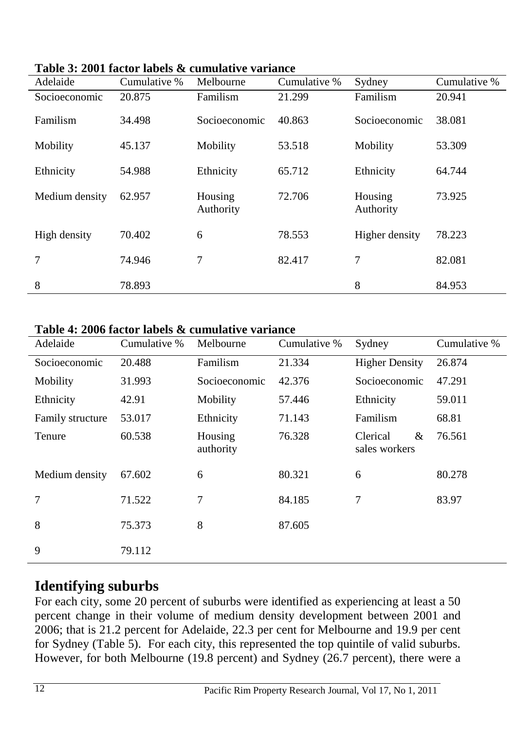| Adelaide       | Cumulative % | raon of soor needri mocks ee cumumu ee ammucc<br>Melbourne | Cumulative % | Sydney               | Cumulative % |
|----------------|--------------|------------------------------------------------------------|--------------|----------------------|--------------|
| Socioeconomic  | 20.875       | Familism                                                   | 21.299       | Familism             | 20.941       |
| Familism       | 34.498       | Socioeconomic                                              | 40.863       | Socioeconomic        | 38.081       |
| Mobility       | 45.137       | Mobility                                                   | 53.518       | Mobility             | 53.309       |
| Ethnicity      | 54.988       | Ethnicity                                                  | 65.712       | Ethnicity            | 64.744       |
| Medium density | 62.957       | Housing<br>Authority                                       | 72.706       | Housing<br>Authority | 73.925       |
| High density   | 70.402       | 6                                                          | 78.553       | Higher density       | 78.223       |
| 7              | 74.946       | 7                                                          | 82.417       | 7                    | 82.081       |
| 8              | 78.893       |                                                            |              | 8                    | 84.953       |

**Table 3: 2001 factor labels & cumulative variance** 

#### **Table 4: 2006 factor labels & cumulative variance**

| Adelaide         | Cumulative % | Melbourne            | Cumulative % | Sydney                         | Cumulative % |
|------------------|--------------|----------------------|--------------|--------------------------------|--------------|
| Socioeconomic    | 20.488       | Familism             | 21.334       | <b>Higher Density</b>          | 26.874       |
| Mobility         | 31.993       | Socioeconomic        | 42.376       | Socioeconomic                  | 47.291       |
| Ethnicity        | 42.91        | Mobility             | 57.446       | Ethnicity                      | 59.011       |
| Family structure | 53.017       | Ethnicity            | 71.143       | Familism                       | 68.81        |
| Tenure           | 60.538       | Housing<br>authority | 76.328       | Clerical<br>&<br>sales workers | 76.561       |
| Medium density   | 67.602       | 6                    | 80.321       | 6                              | 80.278       |
| 7                | 71.522       | 7                    | 84.185       | 7                              | 83.97        |
| 8                | 75.373       | 8                    | 87.605       |                                |              |
| 9                | 79.112       |                      |              |                                |              |

### **Identifying suburbs**

For each city, some 20 percent of suburbs were identified as experiencing at least a 50 percent change in their volume of medium density development between 2001 and 2006; that is 21.2 percent for Adelaide, 22.3 per cent for Melbourne and 19.9 per cent for Sydney [\(Table 5\)](#page-10-0). For each city, this represented the top quintile of valid suburbs. However, for both Melbourne (19.8 percent) and Sydney (26.7 percent), there were a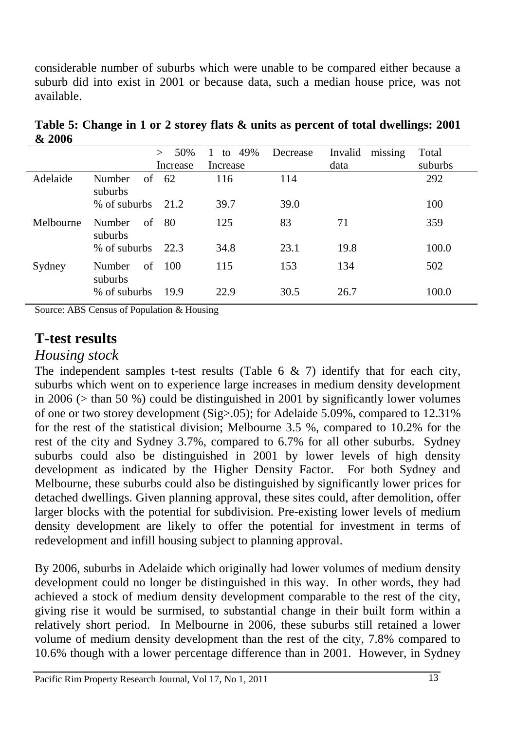considerable number of suburbs which were unable to be compared either because a suburb did into exist in 2001 or because data, such a median house price, was not available.

|           |                         | 50%<br>$\geq$<br>Increase | to 49%<br>1<br>Increase | Decrease | missing<br>Invalid<br>data | Total<br>suburbs |
|-----------|-------------------------|---------------------------|-------------------------|----------|----------------------------|------------------|
| Adelaide  | Number<br>of<br>suburbs | 62                        | 116                     | 114      |                            | 292              |
|           | % of suburbs            | 21.2                      | 39.7                    | 39.0     |                            | 100              |
| Melbourne | Number<br>of<br>suburbs | -80                       | 125                     | 83       | 71                         | 359              |
|           | % of suburbs            | 22.3                      | 34.8                    | 23.1     | 19.8                       | 100.0            |
| Sydney    | Number<br>of<br>suburbs | 100                       | 115                     | 153      | 134                        | 502              |
|           | % of suburbs            | 19.9                      | 22.9                    | 30.5     | 26.7                       | 100.0            |

<span id="page-10-0"></span>**Table 5: Change in 1 or 2 storey flats & units as percent of total dwellings: 2001 & 2006**

Source: ABS Census of Population & Housing

## **T-test results**

### *Housing stock*

The independent samples t-test results [\(Table 6](#page-12-0)  $\&$  7) identify that for each city, suburbs which went on to experience large increases in medium density development in 2006 (> than 50 %) could be distinguished in 2001 by significantly lower volumes of one or two storey development (Sig>.05); for Adelaide 5.09%, compared to 12.31% for the rest of the statistical division; Melbourne 3.5 %, compared to 10.2% for the rest of the city and Sydney 3.7%, compared to 6.7% for all other suburbs. Sydney suburbs could also be distinguished in 2001 by lower levels of high density development as indicated by the Higher Density Factor. For both Sydney and Melbourne, these suburbs could also be distinguished by significantly lower prices for detached dwellings. Given planning approval, these sites could, after demolition, offer larger blocks with the potential for subdivision. Pre-existing lower levels of medium density development are likely to offer the potential for investment in terms of redevelopment and infill housing subject to planning approval.

By 2006, suburbs in Adelaide which originally had lower volumes of medium density development could no longer be distinguished in this way. In other words, they had achieved a stock of medium density development comparable to the rest of the city, giving rise it would be surmised, to substantial change in their built form within a relatively short period. In Melbourne in 2006, these suburbs still retained a lower volume of medium density development than the rest of the city, 7.8% compared to 10.6% though with a lower percentage difference than in 2001. However, in Sydney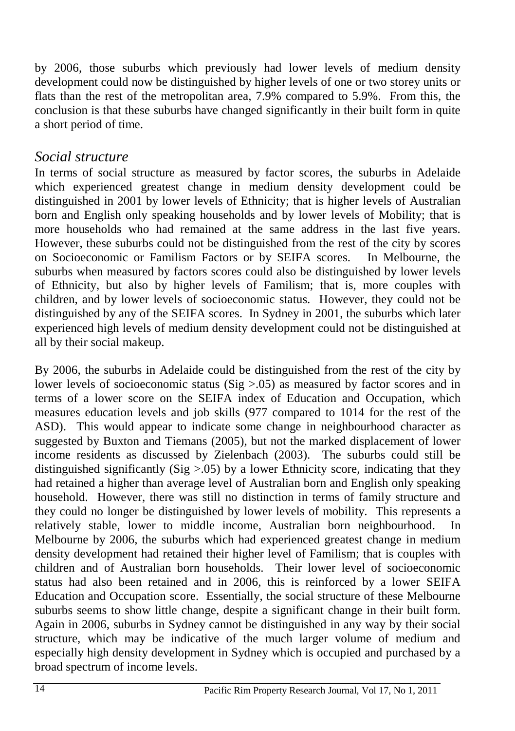by 2006, those suburbs which previously had lower levels of medium density development could now be distinguished by higher levels of one or two storey units or flats than the rest of the metropolitan area, 7.9% compared to 5.9%. From this, the conclusion is that these suburbs have changed significantly in their built form in quite a short period of time.

### *Social structure*

In terms of social structure as measured by factor scores, the suburbs in Adelaide which experienced greatest change in medium density development could be distinguished in 2001 by lower levels of Ethnicity; that is higher levels of Australian born and English only speaking households and by lower levels of Mobility; that is more households who had remained at the same address in the last five years. However, these suburbs could not be distinguished from the rest of the city by scores on Socioeconomic or Familism Factors or by SEIFA scores. In Melbourne, the suburbs when measured by factors scores could also be distinguished by lower levels of Ethnicity, but also by higher levels of Familism; that is, more couples with children, and by lower levels of socioeconomic status. However, they could not be distinguished by any of the SEIFA scores. In Sydney in 2001, the suburbs which later experienced high levels of medium density development could not be distinguished at all by their social makeup.

By 2006, the suburbs in Adelaide could be distinguished from the rest of the city by lower levels of socioeconomic status (Sig > 05) as measured by factor scores and in terms of a lower score on the SEIFA index of Education and Occupation, which measures education levels and job skills (977 compared to 1014 for the rest of the ASD). This would appear to indicate some change in neighbourhood character as suggested by Buxton and Tiemans (2005), but not the marked displacement of lower income residents as discussed by Zielenbach (2003). The suburbs could still be distinguished significantly (Sig  $> 0.05$ ) by a lower Ethnicity score, indicating that they had retained a higher than average level of Australian born and English only speaking household. However, there was still no distinction in terms of family structure and they could no longer be distinguished by lower levels of mobility. This represents a relatively stable, lower to middle income, Australian born neighbourhood. In Melbourne by 2006, the suburbs which had experienced greatest change in medium density development had retained their higher level of Familism; that is couples with children and of Australian born households. Their lower level of socioeconomic status had also been retained and in 2006, this is reinforced by a lower SEIFA Education and Occupation score. Essentially, the social structure of these Melbourne suburbs seems to show little change, despite a significant change in their built form. Again in 2006, suburbs in Sydney cannot be distinguished in any way by their social structure, which may be indicative of the much larger volume of medium and especially high density development in Sydney which is occupied and purchased by a broad spectrum of income levels.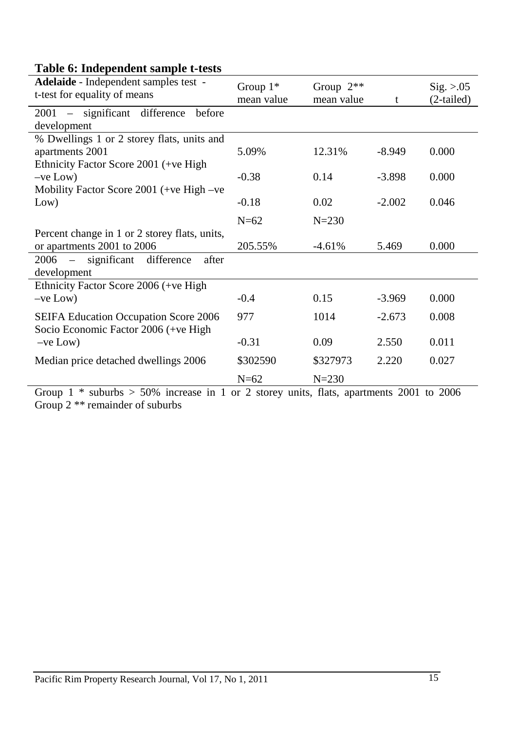| ruore of muepenuent sumpre e tests<br>Adelaide - Independent samples test -<br>t-test for equality of means | Group 1*<br>mean value | Group $2**$<br>mean value | t        | $\mathrm{Sig.}>0.5$<br>(2-tailed) |
|-------------------------------------------------------------------------------------------------------------|------------------------|---------------------------|----------|-----------------------------------|
| 2001 – significant difference<br>before<br>development                                                      |                        |                           |          |                                   |
| % Dwellings 1 or 2 storey flats, units and<br>apartments 2001<br>Ethnicity Factor Score 2001 (+ve High      | 5.09%                  | 12.31%                    | $-8.949$ | 0.000                             |
| $-ve Low)$                                                                                                  | $-0.38$                | 0.14                      | $-3.898$ | 0.000                             |
| Mobility Factor Score 2001 (+ve High $-ve$<br>Low)                                                          | $-0.18$                | 0.02                      | $-2.002$ | 0.046                             |
|                                                                                                             | $N=62$                 | $N = 230$                 |          |                                   |
| Percent change in 1 or 2 storey flats, units,<br>or apartments 2001 to 2006                                 | 205.55%                | $-4.61\%$                 | 5.469    | 0.000                             |
| 2006 – significant difference<br>after<br>development                                                       |                        |                           |          |                                   |
| Ethnicity Factor Score 2006 (+ve High<br>$-ve Low)$                                                         | $-0.4$                 | 0.15                      | $-3.969$ | 0.000                             |
| SEIFA Education Occupation Score 2006<br>Socio Economic Factor 2006 (+ve High                               | 977                    | 1014                      | $-2.673$ | 0.008                             |
| $-ve Low)$                                                                                                  | $-0.31$                | 0.09                      | 2.550    | 0.011                             |
| Median price detached dwellings 2006                                                                        | \$302590               | \$327973                  | 2.220    | 0.027                             |
|                                                                                                             | $N=62$                 | $N = 230$                 |          |                                   |

#### <span id="page-12-0"></span>**Table 6: Independent sample t-tests**

Group  $1 *$  suburbs  $> 50\%$  increase in 1 or 2 storey units, flats, apartments 2001 to 2006 Group 2<sup>\*\*</sup> remainder of suburbs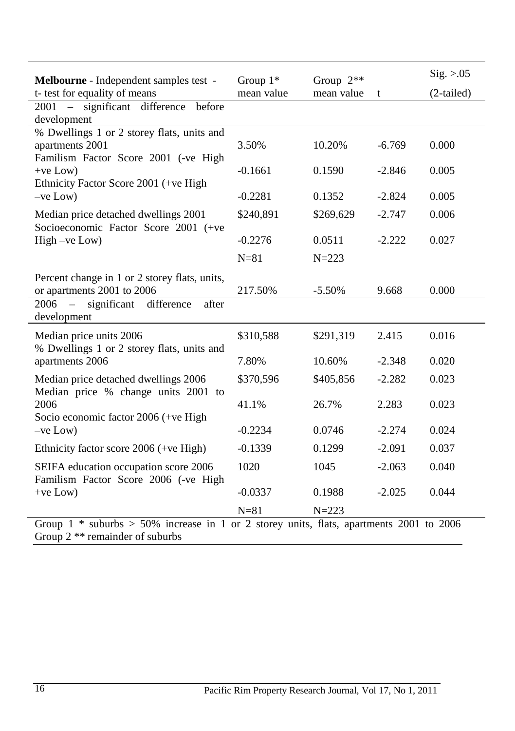| Melbourne - Independent samples test -                                                                | Group $1^*$ | Group $2**$ |          | Sig. > .05 |
|-------------------------------------------------------------------------------------------------------|-------------|-------------|----------|------------|
| t- test for equality of means                                                                         | mean value  | mean value  | t        | (2-tailed) |
| significant difference<br>2001<br>before<br>$\equiv$<br>development                                   |             |             |          |            |
| % Dwellings 1 or 2 storey flats, units and<br>apartments 2001<br>Familism Factor Score 2001 (-ve High | 3.50%       | 10.20%      | $-6.769$ | 0.000      |
| $+ve Low)$<br>Ethnicity Factor Score 2001 (+ve High                                                   | $-0.1661$   | 0.1590      | $-2.846$ | 0.005      |
| $-ve Low)$                                                                                            | $-0.2281$   | 0.1352      | $-2.824$ | 0.005      |
| Median price detached dwellings 2001<br>Socioeconomic Factor Score 2001 (+ve                          | \$240,891   | \$269,629   | $-2.747$ | 0.006      |
| High -ve Low)                                                                                         | $-0.2276$   | 0.0511      | $-2.222$ | 0.027      |
|                                                                                                       | $N = 81$    | $N = 223$   |          |            |
| Percent change in 1 or 2 storey flats, units,<br>or apartments 2001 to 2006                           | 217.50%     | $-5.50%$    | 9.668    | 0.000      |
| 2006<br>difference<br>significant<br>after<br>development                                             |             |             |          |            |
| Median price units 2006<br>% Dwellings 1 or 2 storey flats, units and                                 | \$310,588   | \$291,319   | 2.415    | 0.016      |
| apartments 2006                                                                                       | 7.80%       | 10.60%      | $-2.348$ | 0.020      |
| Median price detached dwellings 2006<br>Median price % change units 2001 to                           | \$370,596   | \$405,856   | $-2.282$ | 0.023      |
| 2006<br>Socio economic factor 2006 (+ve High                                                          | 41.1%       | 26.7%       | 2.283    | 0.023      |
| $-ve Low)$                                                                                            | $-0.2234$   | 0.0746      | $-2.274$ | 0.024      |
| Ethnicity factor score 2006 (+ve High)                                                                | $-0.1339$   | 0.1299      | $-2.091$ | 0.037      |
| SEIFA education occupation score 2006<br>Familism Factor Score 2006 (-ve High                         | 1020        | 1045        | $-2.063$ | 0.040      |
| $+ve Low)$                                                                                            | $-0.0337$   | 0.1988      | $-2.025$ | 0.044      |
|                                                                                                       | $N=81$      | $N = 223$   |          |            |
| Group $1 *$ suburbs > 50% increase in 1 or 2 storey units, flats, apartments 2001 to 2006             |             |             |          |            |

Group 2<sup>\*\*</sup> remainder of suburbs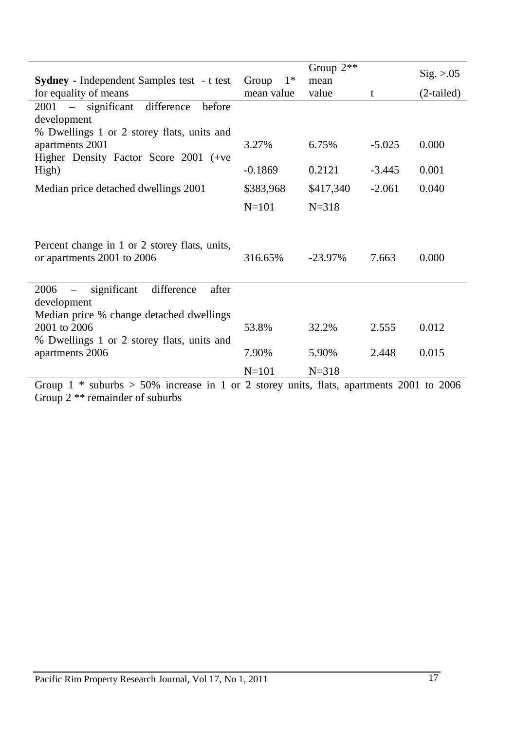|                                                                        |               | Group $2**$ |                             |              |
|------------------------------------------------------------------------|---------------|-------------|-----------------------------|--------------|
| <b>Sydney</b> - Independent Samples test - t test                      | $1*$<br>Group | mean        |                             | Sig. > .05   |
| for equality of means                                                  | mean value    | value       | t                           | $(2-tailed)$ |
| 2001 – significant difference<br>before                                |               |             |                             |              |
| development                                                            |               |             |                             |              |
| % Dwellings 1 or 2 storey flats, units and                             |               |             |                             |              |
| apartments 2001                                                        | 3.27%         | 6.75%       | $-5.025$                    | 0.000        |
| Higher Density Factor Score 2001 (+ve                                  | $-0.1869$     | 0.2121      | $-3.445$                    | 0.001        |
| High)                                                                  |               |             |                             |              |
| Median price detached dwellings 2001                                   | \$383,968     | \$417,340   | $-2.061$                    | 0.040        |
|                                                                        | $N = 101$     | $N = 318$   |                             |              |
|                                                                        |               |             |                             |              |
|                                                                        |               |             |                             |              |
| Percent change in 1 or 2 storey flats, units,                          |               |             |                             |              |
| or apartments 2001 to 2006                                             | 316.65%       | $-23.97\%$  | 7.663                       | 0.000        |
|                                                                        |               |             |                             |              |
| significant<br>difference<br>after<br>2006<br>$\overline{\phantom{m}}$ |               |             |                             |              |
| development                                                            |               |             |                             |              |
| Median price % change detached dwellings                               |               |             |                             |              |
| 2001 to 2006                                                           | 53.8%         | 32.2%       | 2.555                       | 0.012        |
| % Dwellings 1 or 2 storey flats, units and                             |               |             |                             |              |
| apartments 2006                                                        | 7.90%         | 5.90%       | 2.448                       | 0.015        |
|                                                                        | $N = 101$     | $N = 318$   |                             |              |
| .<br>$    -$                                                           |               |             | $\sim$ $\sim$ $\sim$ $\sim$ |              |

Group  $1 *$  suburbs  $> 50\%$  increase in 1 or 2 storey units, flats, apartments 2001 to 2006 Group 2 \*\* remainder of suburbs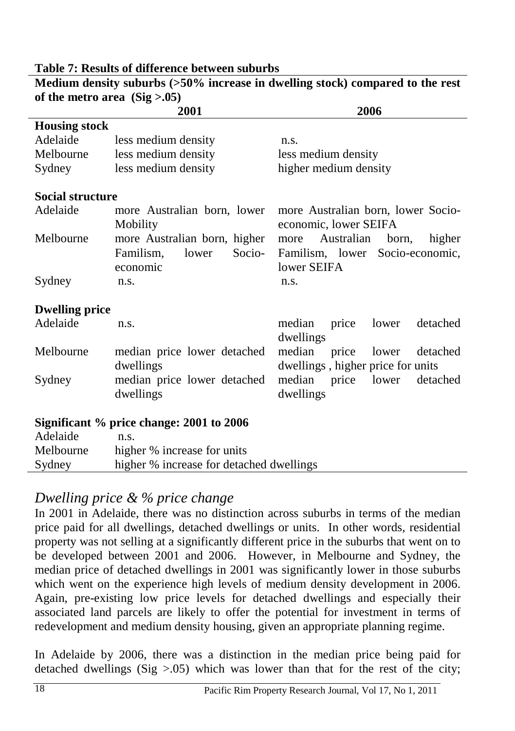| of the metro area $(Sig > 05)$ |                                                                          |                                                                                         |  |
|--------------------------------|--------------------------------------------------------------------------|-----------------------------------------------------------------------------------------|--|
|                                | 2001                                                                     | 2006                                                                                    |  |
| <b>Housing stock</b>           |                                                                          |                                                                                         |  |
| Adelaide                       | less medium density                                                      | n.s.                                                                                    |  |
| Melbourne                      | less medium density                                                      | less medium density                                                                     |  |
| Sydney                         | less medium density                                                      | higher medium density                                                                   |  |
| Social structure               |                                                                          |                                                                                         |  |
| Adelaide                       | more Australian born, lower<br>Mobility                                  | more Australian born, lower Socio-<br>economic, lower SEIFA                             |  |
| Melbourne                      | more Australian born, higher<br>Socio-<br>Familism,<br>lower<br>economic | Australian<br>born,<br>higher<br>more<br>Familism, lower Socio-economic,<br>lower SEIFA |  |
| Sydney                         | n.s.                                                                     | n.s.                                                                                    |  |
| <b>Dwelling price</b>          |                                                                          |                                                                                         |  |
| Adelaide                       | n.s.                                                                     | median<br>price lower<br>detached<br>dwellings                                          |  |
| Melbourne                      | median price lower detached<br>dwellings                                 | median<br>price<br>lower<br>detached<br>dwellings, higher price for units               |  |
| Sydney                         | median price lower detached<br>dwellings                                 | median price lower<br>detached<br>dwellings                                             |  |
|                                | Significant % price change: 2001 to 2006                                 |                                                                                         |  |
| Adelaide                       | n.s.                                                                     |                                                                                         |  |
| Melbourne                      | higher % increase for units                                              |                                                                                         |  |
| Sydney                         | higher % increase for detached dwellings                                 |                                                                                         |  |

#### **Table 7: Results of difference between suburbs**

**Medium density suburbs (>50% increase in dwelling stock) compared to the rest of the metro area (Sig >.05)**

## *Dwelling price & % price change*

In 2001 in Adelaide, there was no distinction across suburbs in terms of the median price paid for all dwellings, detached dwellings or units. In other words, residential property was not selling at a significantly different price in the suburbs that went on to be developed between 2001 and 2006. However, in Melbourne and Sydney, the median price of detached dwellings in 2001 was significantly lower in those suburbs which went on the experience high levels of medium density development in 2006. Again, pre-existing low price levels for detached dwellings and especially their associated land parcels are likely to offer the potential for investment in terms of redevelopment and medium density housing, given an appropriate planning regime.

In Adelaide by 2006, there was a distinction in the median price being paid for detached dwellings (Sig  $>0.05$ ) which was lower than that for the rest of the city;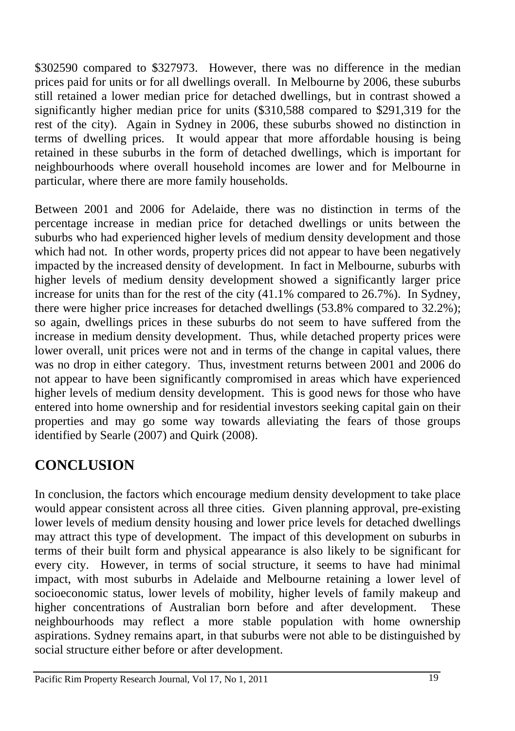\$302590 compared to \$327973. However, there was no difference in the median prices paid for units or for all dwellings overall. In Melbourne by 2006, these suburbs still retained a lower median price for detached dwellings, but in contrast showed a significantly higher median price for units (\$310,588 compared to \$291,319 for the rest of the city). Again in Sydney in 2006, these suburbs showed no distinction in terms of dwelling prices. It would appear that more affordable housing is being retained in these suburbs in the form of detached dwellings, which is important for neighbourhoods where overall household incomes are lower and for Melbourne in particular, where there are more family households.

Between 2001 and 2006 for Adelaide, there was no distinction in terms of the percentage increase in median price for detached dwellings or units between the suburbs who had experienced higher levels of medium density development and those which had not. In other words, property prices did not appear to have been negatively impacted by the increased density of development. In fact in Melbourne, suburbs with higher levels of medium density development showed a significantly larger price increase for units than for the rest of the city (41.1% compared to 26.7%). In Sydney, there were higher price increases for detached dwellings (53.8% compared to 32.2%); so again, dwellings prices in these suburbs do not seem to have suffered from the increase in medium density development. Thus, while detached property prices were lower overall, unit prices were not and in terms of the change in capital values, there was no drop in either category. Thus, investment returns between 2001 and 2006 do not appear to have been significantly compromised in areas which have experienced higher levels of medium density development. This is good news for those who have entered into home ownership and for residential investors seeking capital gain on their properties and may go some way towards alleviating the fears of those groups identified by Searle (2007) and Quirk (2008).

## **CONCLUSION**

In conclusion, the factors which encourage medium density development to take place would appear consistent across all three cities. Given planning approval, pre-existing lower levels of medium density housing and lower price levels for detached dwellings may attract this type of development. The impact of this development on suburbs in terms of their built form and physical appearance is also likely to be significant for every city. However, in terms of social structure, it seems to have had minimal impact, with most suburbs in Adelaide and Melbourne retaining a lower level of socioeconomic status, lower levels of mobility, higher levels of family makeup and higher concentrations of Australian born before and after development. These neighbourhoods may reflect a more stable population with home ownership aspirations. Sydney remains apart, in that suburbs were not able to be distinguished by social structure either before or after development.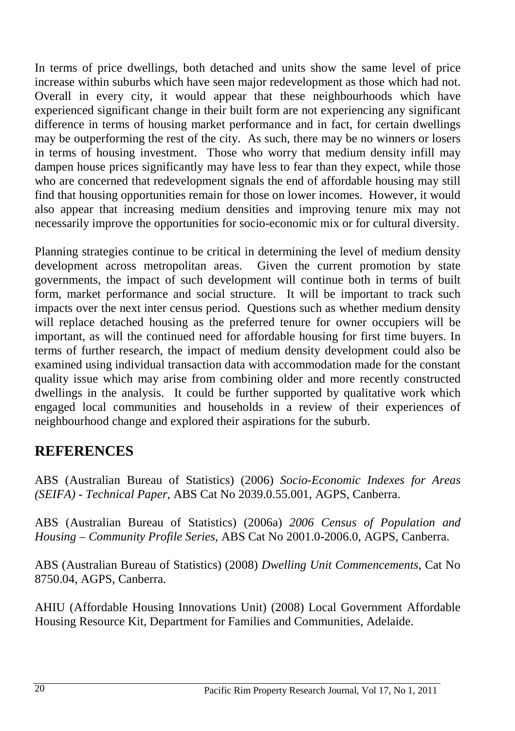In terms of price dwellings, both detached and units show the same level of price increase within suburbs which have seen major redevelopment as those which had not. Overall in every city, it would appear that these neighbourhoods which have experienced significant change in their built form are not experiencing any significant difference in terms of housing market performance and in fact, for certain dwellings may be outperforming the rest of the city. As such, there may be no winners or losers in terms of housing investment. Those who worry that medium density infill may dampen house prices significantly may have less to fear than they expect, while those who are concerned that redevelopment signals the end of affordable housing may still find that housing opportunities remain for those on lower incomes. However, it would also appear that increasing medium densities and improving tenure mix may not necessarily improve the opportunities for socio-economic mix or for cultural diversity.

Planning strategies continue to be critical in determining the level of medium density development across metropolitan areas. Given the current promotion by state governments, the impact of such development will continue both in terms of built form, market performance and social structure. It will be important to track such impacts over the next inter census period. Questions such as whether medium density will replace detached housing as the preferred tenure for owner occupiers will be important, as will the continued need for affordable housing for first time buyers. In terms of further research, the impact of medium density development could also be examined using individual transaction data with accommodation made for the constant quality issue which may arise from combining older and more recently constructed dwellings in the analysis. It could be further supported by qualitative work which engaged local communities and households in a review of their experiences of neighbourhood change and explored their aspirations for the suburb.

### **REFERENCES**

ABS (Australian Bureau of Statistics) (2006) *Socio-Economic Indexes for Areas (SEIFA) - Technical Paper*, ABS Cat No 2039.0.55.001, AGPS, Canberra.

ABS (Australian Bureau of Statistics) (2006a) *2006 Census of Population and Housing – Community Profile Series*, ABS Cat No 2001.0-2006.0, AGPS, Canberra.

ABS (Australian Bureau of Statistics) (2008) *Dwelling Unit Commencements*, Cat No 8750.04, AGPS, Canberra.

AHIU (Affordable Housing Innovations Unit) (2008) Local Government Affordable Housing Resource Kit, Department for Families and Communities, Adelaide.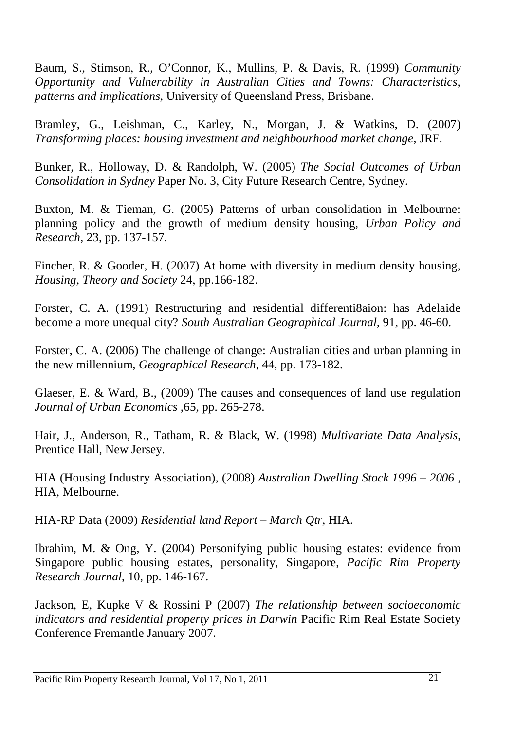Baum, S., Stimson, R., O'Connor, K., Mullins, P. & Davis, R. (1999) *Community Opportunity and Vulnerability in Australian Cities and Towns: Characteristics, patterns and implications*, University of Queensland Press, Brisbane.

Bramley, G., Leishman, C., Karley, N., Morgan, J. & Watkins, D. (2007) *Transforming places: housing investment and neighbourhood market change,* JRF.

Bunker, R., Holloway, D. & Randolph, W. (2005) *The Social Outcomes of Urban Consolidation in Sydney* Paper No. 3, City Future Research Centre, Sydney.

Buxton, M. & Tieman, G. (2005) Patterns of urban consolidation in Melbourne: planning policy and the growth of medium density housing, *Urban Policy and Research*, 23, pp. 137-157.

Fincher, R. & Gooder, H. (2007) At home with diversity in medium density housing, *Housing, Theory and Society* 24, pp.166-182.

Forster, C. A. (1991) Restructuring and residential differenti8aion: has Adelaide become a more unequal city? *South Australian Geographical Journal*, 91, pp. 46-60.

Forster, C. A. (2006) The challenge of change: Australian cities and urban planning in the new millennium, *Geographical Research*, 44, pp. 173-182.

Glaeser, E. & Ward, B., (2009) The causes and consequences of land use regulation *Journal of Urban Economics* ,65, pp. 265-278.

Hair, J., Anderson, R., Tatham, R. & Black, W. (1998) *Multivariate Data Analysis*, Prentice Hall, New Jersey.

HIA (Housing Industry Association), (2008) *Australian Dwelling Stock 1996 – 2006* , HIA, Melbourne.

HIA-RP Data (2009) *Residential land Report – March Qtr,* HIA.

Ibrahim, M. & Ong, Y. (2004) Personifying public housing estates: evidence from Singapore public housing estates, personality, Singapore, *Pacific Rim Property Research Journal*, 10, pp. 146-167.

Jackson, E, Kupke V & Rossini P (2007) *The relationship between socioeconomic indicators and residential property prices in Darwin* Pacific Rim Real Estate Society Conference Fremantle January 2007.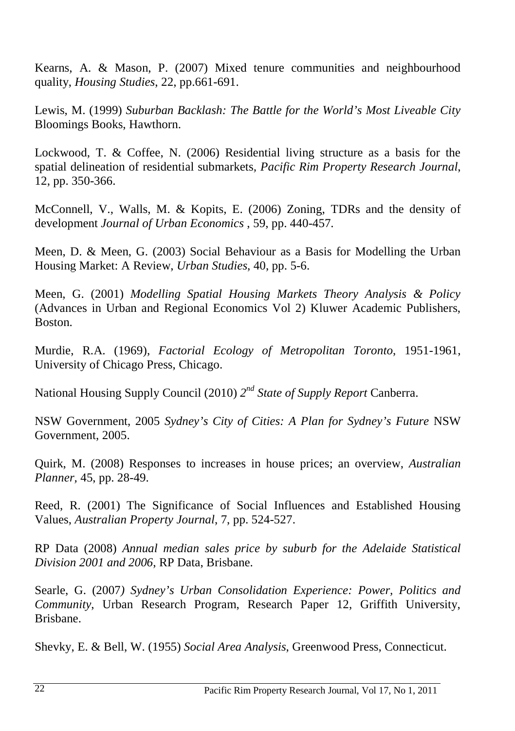Kearns, A. & Mason, P. (2007) Mixed tenure communities and neighbourhood quality, *Housing Studies*, 22, pp.661-691.

Lewis, M. (1999) *Suburban Backlash: The Battle for the World's Most Liveable City* Bloomings Books, Hawthorn.

Lockwood, T. & Coffee, N. (2006) Residential living structure as a basis for the spatial delineation of residential submarkets*, Pacific Rim Property Research Journal*, 12, pp. 350-366.

McConnell, V., Walls, M. & Kopits, E. (2006) Zoning, TDRs and the density of development *Journal of Urban Economics* , 59, pp. 440-457.

Meen, D. & Meen, G. (2003) Social Behaviour as a Basis for Modelling the Urban Housing Market: A Review, *Urban Studies*, 40, pp. 5-6.

Meen, G. (2001) *Modelling Spatial Housing Markets Theory Analysis & Policy* (Advances in Urban and Regional Economics Vol 2) Kluwer Academic Publishers, Boston.

Murdie, R.A. (1969), *Factorial Ecology of Metropolitan Toronto*, 1951-1961, University of Chicago Press, Chicago.

National Housing Supply Council (2010) *2nd State of Supply Report* Canberra.

NSW Government, 2005 *Sydney's City of Cities: A Plan for Sydney's Future* NSW Government, 2005.

Quirk, M. (2008) Responses to increases in house prices; an overview, *Australian Planner,* 45, pp. 28-49.

Reed, R. (2001) The Significance of Social Influences and Established Housing Values, *Australian Property Journal*, 7, pp. 524-527.

RP Data (2008) *Annual median sales price by suburb for the Adelaide Statistical Division 2001 and 2006*, RP Data, Brisbane.

Searle, G. (2007*) Sydney's Urban Consolidation Experience: Power, Politics and Community*, Urban Research Program, Research Paper 12, Griffith University, Brisbane.

Shevky, E. & Bell, W. (1955) *Social Area Analysis*, Greenwood Press, Connecticut.